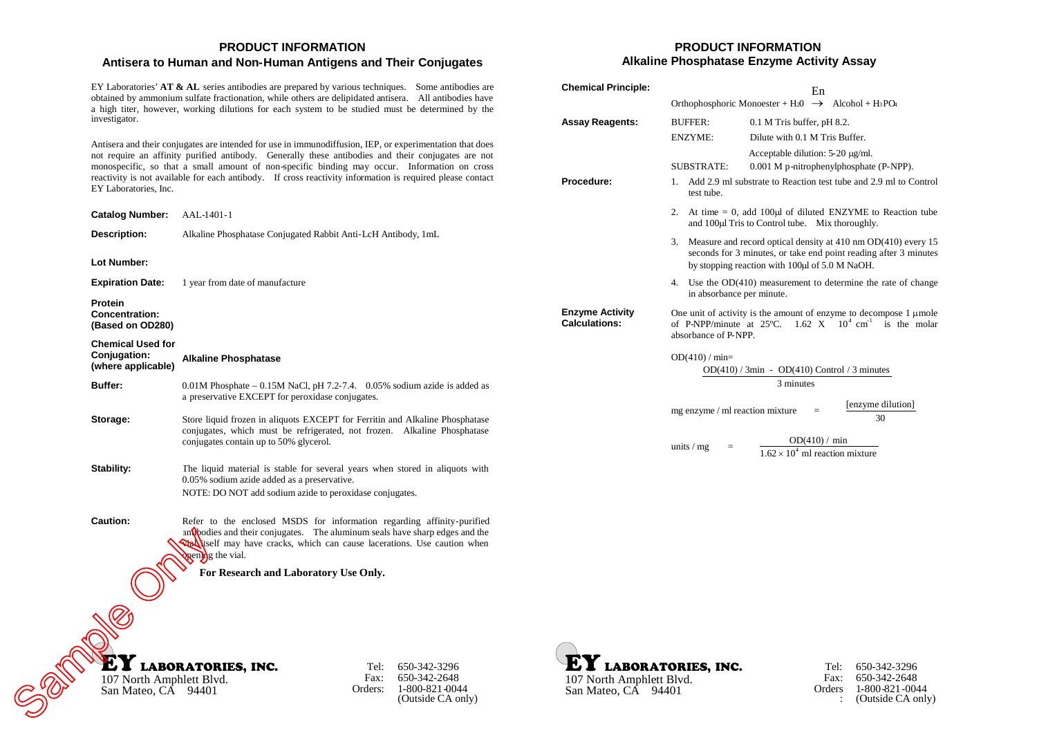## **PRODUCT INFORMATION Antisera to Human and Non-Human Antigens and Their Conjugates**

EY Laboratories'**AT & AL** series antibodies are prepared by various techniques. Some antibodies are obtained by ammonium sulfate fractionation, while others are delipidated antisera. All antibodies have a high titer, however, working dilutions for each system to be studied must be determined by the investigator.

Antisera and their conjugates are intended for use in immunodiffusion, IEP, or experimentation that does not require an affinity purified antibody. Generally these antibodies and their conjugates are not monospecific, so that a small amount of non-specific binding may occur. Information on cross reactivity is not available for each antibody. If cross reactivity information is required please contact EY Laboratories, Inc.

| <b>Catalog Number:</b>                                         | AAL-1401-1                                                                                                                                                                                                                                                                                                   |                                                |
|----------------------------------------------------------------|--------------------------------------------------------------------------------------------------------------------------------------------------------------------------------------------------------------------------------------------------------------------------------------------------------------|------------------------------------------------|
| Description:                                                   | Alkaline Phosphatase Conjugated Rabbit Anti-LcH Antibody, 1mL                                                                                                                                                                                                                                                |                                                |
| Lot Number:<br><b>Expiration Date:</b>                         | 1 year from date of manufacture                                                                                                                                                                                                                                                                              |                                                |
| <b>Protein</b><br><b>Concentration:</b><br>(Based on OD280)    |                                                                                                                                                                                                                                                                                                              |                                                |
| <b>Chemical Used for</b><br>Conjugation:<br>(where applicable) | <b>Alkaline Phosphatase</b>                                                                                                                                                                                                                                                                                  |                                                |
| Buffer:                                                        | $0.01M$ Phosphate $-0.15M$ NaCl, pH 7.2-7.4. 0.05% sodium azide is added as<br>a preservative EXCEPT for peroxidase conjugates.                                                                                                                                                                              |                                                |
| Storage:                                                       | Store liquid frozen in aliquots EXCEPT for Ferritin and Alkaline Phosphatase<br>conjugates, which must be refrigerated, not frozen. Alkaline Phosphatase<br>conjugates contain up to 50% glycerol.                                                                                                           |                                                |
| Stability:                                                     | The liquid material is stable for several years when stored in aliquots with<br>0.05% sodium azide added as a preservative.<br>NOTE: DO NOT add sodium azide to peroxidase conjugates.                                                                                                                       |                                                |
| <b>Caution:</b>                                                | Refer to the enclosed MSDS for information regarding affinity-purified<br>$an \mathbf{Q}$ bodies and their conjugates. The aluminum seals have sharp edges and the<br>Western may have cracks, which can cause lacerations. Use caution when<br>penthence the vial.<br>For Research and Laboratory Use Only. |                                                |
| 107 North Amphlett Blvd.                                       | <b>LABORATORIES, INC.</b><br>Tel:<br>Fax:<br>Orders:                                                                                                                                                                                                                                                         | 650-342-3296<br>650-342-2648<br>1-800-821-0044 |
| San Mateo, CÁ 94401                                            |                                                                                                                                                                                                                                                                                                              | (Outside CA only)                              |

# **PRODUCT INFORMATION Alkaline Phosphatase Enzyme Activity Assay**

| <b>Chemical Principle:</b>              |                                                                                                                                                                                           | En                                                               |                                                               |
|-----------------------------------------|-------------------------------------------------------------------------------------------------------------------------------------------------------------------------------------------|------------------------------------------------------------------|---------------------------------------------------------------|
|                                         | Orthophosphoric Monoester + H <sub>2</sub> 0 $\rightarrow$ Alcohol + H <sub>3</sub> PO <sub>4</sub>                                                                                       |                                                                  |                                                               |
| <b>Assay Reagents:</b>                  | <b>BUFFER:</b><br><b>ENZYME:</b>                                                                                                                                                          | $0.1$ M Tris buffer, pH 8.2.<br>Dilute with 0.1 M Tris Buffer.   |                                                               |
|                                         |                                                                                                                                                                                           | Acceptable dilution: $5-20 \mu g/ml$ .                           |                                                               |
|                                         | <b>SUBSTRATE:</b>                                                                                                                                                                         |                                                                  | 0.001 M p-nitrophenylphosphate (P-NPP).                       |
| Procedure:                              | 1.<br>test tube.                                                                                                                                                                          | Add 2.9 ml substrate to Reaction test tube and 2.9 ml to Control |                                                               |
|                                         | At time $= 0$ , add 100 $\mu$ l of diluted ENZYME to Reaction tube<br>2.<br>and 100µl Tris to Control tube. Mix thoroughly.                                                               |                                                                  |                                                               |
|                                         | Measure and record optical density at 410 nm OD(410) every 15<br>3.<br>seconds for 3 minutes, or take end point reading after 3 minutes<br>by stopping reaction with 100µl of 5.0 M NaOH. |                                                                  |                                                               |
|                                         | 4.<br>in absorbance per minute.                                                                                                                                                           |                                                                  | Use the $OD(410)$ measurement to determine the rate of change |
| <b>Enzyme Activity</b><br>Calculations: | One unit of activity is the amount of enzyme to decompose $1 \mu$ mole<br>of P-NPP/minute at $25^{\circ}$ C. 1.62 X $10^4$ cm <sup>1</sup> is the molar<br>absorbance of P-NPP.           |                                                                  |                                                               |
|                                         | $OD(410) / min=$<br>$OD(410) / 3min$ - $OD(410)$ Control / 3 minutes<br>3 minutes                                                                                                         |                                                                  |                                                               |
|                                         | [enzyme dilution]<br>mg enzyme / ml reaction mixture<br>$=$<br>30                                                                                                                         |                                                                  |                                                               |
|                                         | units $/mg$<br>$=$                                                                                                                                                                        | OD(410) / min<br>$1.62 \times 10^4$ ml reaction mixture          |                                                               |





Tel: 650-342-3296 Fax: 650-342-2648 Orders 1-800-821-0044 : (Outside CA only)